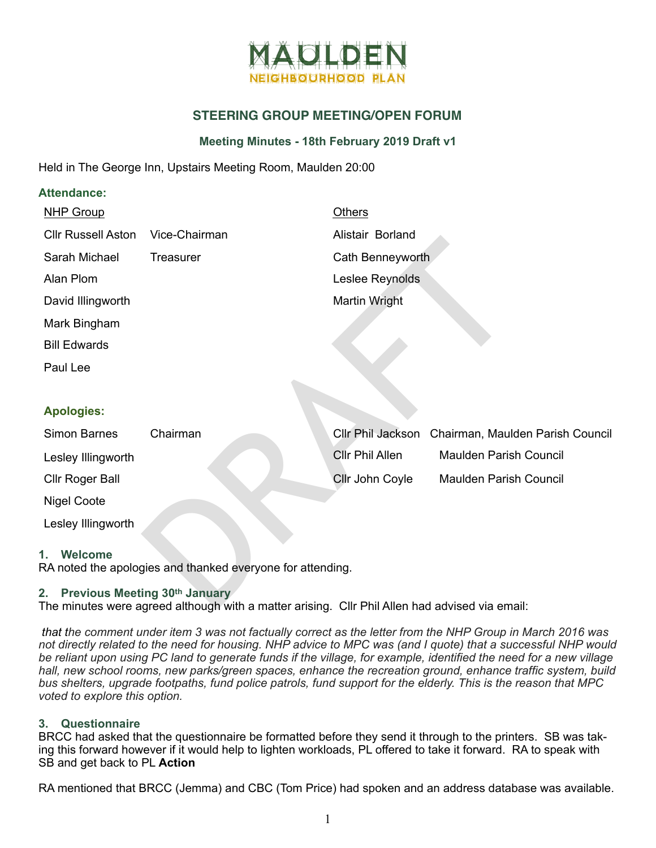

# **STEERING GROUP MEETING/OPEN FORUM**

# **Meeting Minutes - 18th February 2019 Draft v1**

Held in The George Inn, Upstairs Meeting Room, Maulden 20:00

## **Attendance:**

| <b>NHP Group</b>                                                                                                                          |                                                            | <b>Others</b>          |                       |  |  |
|-------------------------------------------------------------------------------------------------------------------------------------------|------------------------------------------------------------|------------------------|-----------------------|--|--|
| <b>Cllr Russell Aston</b>                                                                                                                 | Vice-Chairman                                              | Alistair Borland       |                       |  |  |
| Sarah Michael                                                                                                                             | <b>Treasurer</b>                                           | Cath Benneyworth       |                       |  |  |
| Alan Plom                                                                                                                                 |                                                            | Leslee Reynolds        |                       |  |  |
| David Illingworth                                                                                                                         |                                                            | <b>Martin Wright</b>   |                       |  |  |
| Mark Bingham                                                                                                                              |                                                            |                        |                       |  |  |
| <b>Bill Edwards</b>                                                                                                                       |                                                            |                        |                       |  |  |
| Paul Lee                                                                                                                                  |                                                            |                        |                       |  |  |
|                                                                                                                                           |                                                            |                        |                       |  |  |
| <b>Apologies:</b>                                                                                                                         |                                                            |                        |                       |  |  |
| <b>Simon Barnes</b>                                                                                                                       | Chairman                                                   | Cllr Phil Jackson      | Chairman, Mauld       |  |  |
| Lesley Illingworth                                                                                                                        |                                                            | <b>CIIr Phil Allen</b> | <b>Maulden Parish</b> |  |  |
| <b>Cllr Roger Ball</b>                                                                                                                    |                                                            | Cllr John Coyle        | <b>Maulden Parish</b> |  |  |
| <b>Nigel Coote</b>                                                                                                                        |                                                            |                        |                       |  |  |
| Lesley Illingworth                                                                                                                        |                                                            |                        |                       |  |  |
| Welcome<br>1.                                                                                                                             | RA noted the apologies and thanked everyone for attending. |                        |                       |  |  |
| <b>Previous Meeting 30th January</b><br>2.<br>The minutes were agreed although with a matter arising. Cllr Phil Allen had advised via ema |                                                            |                        |                       |  |  |

| Simon Barnes       | Chairman |                        | Cllr Phil Jackson Chairman, Maulden Parish Council |
|--------------------|----------|------------------------|----------------------------------------------------|
| Lesley Illingworth |          | <b>Cllr Phil Allen</b> | <b>Maulden Parish Council</b>                      |
| Cllr Roger Ball    |          | <b>Cllr John Coyle</b> | <b>Maulden Parish Council</b>                      |
| Nigel Coote        |          |                        |                                                    |

# **2. Previous Meeting 30th January**

The minutes were agreed although with a matter arising. Cllr Phil Allen had advised via email:

*that the comment under item 3 was not factually correct as the letter from the NHP Group in March 2016 was not directly related to the need for housing. NHP advice to MPC was (and I quote) that a successful NHP would be reliant upon using PC land to generate funds if the village, for example, identified the need for a new village hall, new school rooms, new parks/green spaces, enhance the recreation ground, enhance traffic system, build bus shelters, upgrade footpaths, fund police patrols, fund support for the elderly. This is the reason that MPC voted to explore this option.* 

# **3. Questionnaire**

BRCC had asked that the questionnaire be formatted before they send it through to the printers. SB was taking this forward however if it would help to lighten workloads, PL offered to take it forward. RA to speak with SB and get back to PL **Action** 

RA mentioned that BRCC (Jemma) and CBC (Tom Price) had spoken and an address database was available.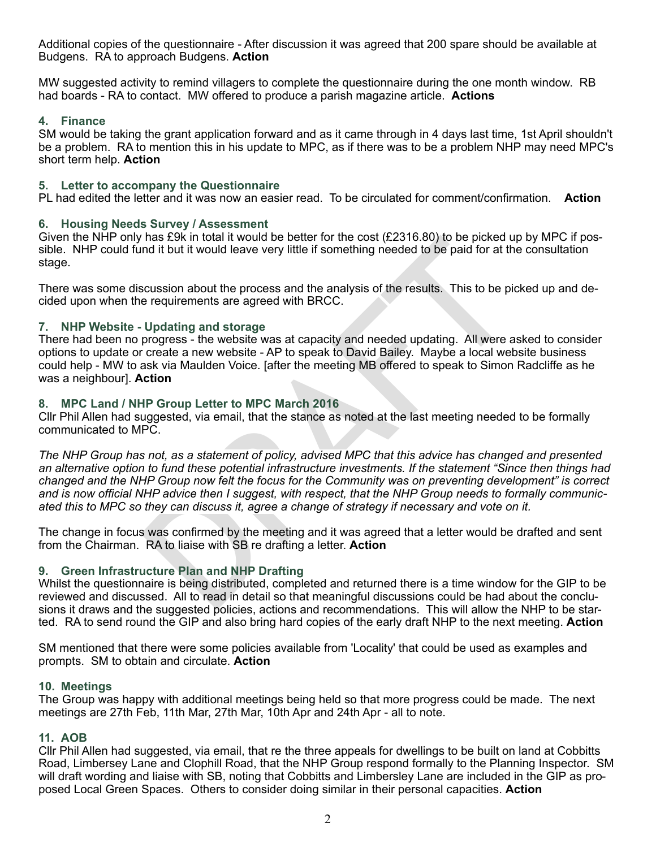Additional copies of the questionnaire - After discussion it was agreed that 200 spare should be available at Budgens. RA to approach Budgens. **Action** 

MW suggested activity to remind villagers to complete the questionnaire during the one month window. RB had boards - RA to contact. MW offered to produce a parish magazine article. **Actions** 

## **4. Finance**

SM would be taking the grant application forward and as it came through in 4 days last time, 1st April shouldn't be a problem. RA to mention this in his update to MPC, as if there was to be a problem NHP may need MPC's short term help. **Action**

#### **5. Letter to accompany the Questionnaire**

PL had edited the letter and it was now an easier read. To be circulated for comment/confirmation. **Action**

## **6. Housing Needs Survey / Assessment**

Given the NHP only has £9k in total it would be better for the cost (£2316.80) to be picked up by MPC if pos sible. NHP could fund it but it would leave very little if something needed to be paid for at the consultation stage.

There was some discussion about the process and the analysis of the results. This to be picked up and de cided upon when the requirements are agreed with BRCC.

## **7. NHP Website - Updating and storage**

There had been no progress - the website was at capacity and needed updating. All were asked to consider options to update or create a new website - AP to speak to David Bailey. Maybe a local website business could help - MW to ask via Maulden Voice. [after the meeting MB offered to speak to Simon Radcliffe as he was a neighbour]. **Action** 

## **8. MPC Land / NHP Group Letter to MPC March 2016**

Cllr Phil Allen had suggested, via email, that the stance as noted at the last meeting needed to be formally communicated to MPC.

Thas Eyk in total if would be better for the cost (EZ31b.80) to be picked und<br>ind it but it would leave very little if something needed to be paid for at the<br>scussion about the process and the analysis of the results. This *The NHP Group has not, as a statement of policy, advised MPC that this advice has changed and presented an alternative option to fund these potential infrastructure investments. If the statement "Since then things had changed and the NHP Group now felt the focus for the Community was on preventing development" is correct and is now official NHP advice then I suggest, with respect, that the NHP Group needs to formally communic ated this to MPC so they can discuss it, agree a change of strategy if necessary and vote on it.*

The change in focus was confirmed by the meeting and it was agreed that a letter would be drafted and sent from the Chairman. RA to liaise with SB re drafting a letter. **Action**

# **9. Green Infrastructure Plan and NHP Drafting**

Whilst the questionnaire is being distributed, completed and returned there is a time window for the GIP to be reviewed and discussed. All to read in detail so that meaningful discussions could be had about the conclu sions it draws and the suggested policies, actions and recommendations. This will allow the NHP to be started. RA to send round the GIP and also bring hard copies of the early draft NHP to the next meeting. **Action** 

SM mentioned that there were some policies available from 'Locality' that could be used as examples and prompts. SM to obtain and circulate. **Action** 

#### **10. Meetings**

The Group was happy with additional meetings being held so that more progress could be made. The next meetings are 27th Feb, 11th Mar, 27th Mar, 10th Apr and 24th Apr - all to note.

#### **11. AOB**

Cllr Phil Allen had suggested, via email, that re the three appeals for dwellings to be built on land at Cobbitts Road, Limbersey Lane and Clophill Road, that the NHP Group respond formally to the Planning Inspector. SM will draft wording and liaise with SB, noting that Cobbitts and Limbersley Lane are included in the GIP as pro posed Local Green Spaces. Others to consider doing similar in their personal capacities. **Action**